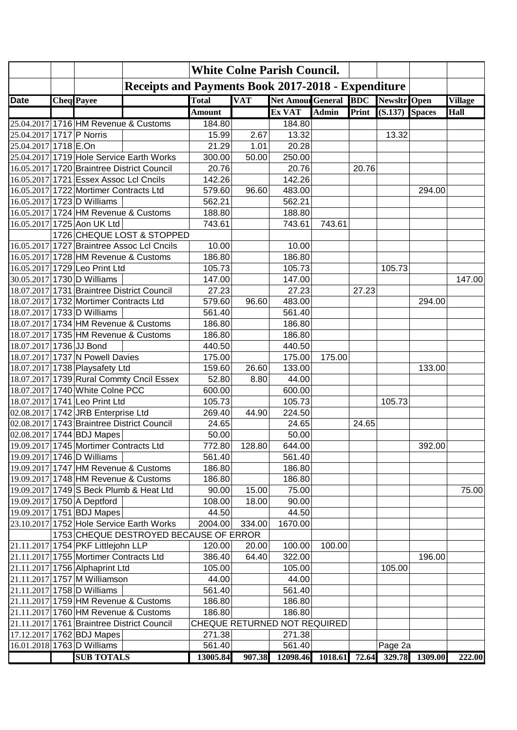|                          | <b>White Colne Parish Council.</b>     |                                                           |               |            |                              |              |       |                      |         |                |
|--------------------------|----------------------------------------|-----------------------------------------------------------|---------------|------------|------------------------------|--------------|-------|----------------------|---------|----------------|
|                          |                                        | <b>Receipts and Payments Book 2017-2018 - Expenditure</b> |               |            |                              |              |       |                      |         |                |
| <b>Date</b>              | <b>Cheq</b> Payee                      |                                                           | <b>Total</b>  | <b>VAT</b> | <b>Net Amoul General BDC</b> |              |       | Newsltr Open         |         | <b>Village</b> |
|                          |                                        |                                                           | <b>Amount</b> |            | Ex VAT                       | <b>Admin</b> | Print | $(S.137)$ Spaces     |         | <b>Hall</b>    |
|                          |                                        | 25.04.2017 1716 HM Revenue & Customs                      | 184.80        |            | 184.80                       |              |       |                      |         |                |
| 25.04.2017 1717 P Norris |                                        |                                                           | 15.99         | 2.67       | 13.32                        |              |       | 13.32                |         |                |
| 25.04.2017 1718 E.On     |                                        |                                                           | 21.29         | 1.01       | 20.28                        |              |       |                      |         |                |
|                          |                                        | 25.04.2017 1719 Hole Service Earth Works                  | 300.00        | 50.00      | 250.00                       |              |       |                      |         |                |
|                          |                                        | 16.05.2017 1720 Braintree District Council                | 20.76         |            | 20.76                        |              | 20.76 |                      |         |                |
|                          | 16.05.2017 1721 Essex Assoc Lcl Cncils |                                                           | 142.26        |            | 142.26                       |              |       |                      |         |                |
|                          | 16.05.2017 1722 Mortimer Contracts Ltd |                                                           | 579.60        | 96.60      | 483.00                       |              |       |                      | 294.00  |                |
|                          | 16.05.2017 1723 D Williams             |                                                           | 562.21        |            | 562.21                       |              |       |                      |         |                |
|                          |                                        | 16.05.2017 1724 HM Revenue & Customs                      | 188.80        |            | 188.80                       |              |       |                      |         |                |
|                          | 16.05.2017 1725 Aon UK Ltd             |                                                           | 743.61        |            | 743.61                       | 743.61       |       |                      |         |                |
|                          |                                        | 1726 CHEQUE LOST & STOPPED                                |               |            |                              |              |       |                      |         |                |
|                          |                                        | 16.05.2017 1727 Braintree Assoc Lcl Cncils                | 10.00         |            | 10.00                        |              |       |                      |         |                |
|                          |                                        | 16.05.2017 1728 HM Revenue & Customs                      | 186.80        |            | 186.80                       |              |       |                      |         |                |
|                          | 16.05.2017 1729 Leo Print Ltd          |                                                           | 105.73        |            | 105.73                       |              |       | 105.73               |         |                |
|                          | 30.05.2017 1730 D Williams             |                                                           | 147.00        |            | 147.00                       |              |       |                      |         | 147.00         |
|                          |                                        | 18.07.2017 1731 Braintree District Council                | 27.23         |            | 27.23                        |              | 27.23 |                      |         |                |
|                          | 18.07.2017 1732 Mortimer Contracts Ltd |                                                           | 579.60        | 96.60      | 483.00                       |              |       |                      | 294.00  |                |
|                          | 18.07.2017 1733 D Williams             |                                                           | 561.40        |            | 561.40                       |              |       |                      |         |                |
|                          |                                        | 18.07.2017 1734 HM Revenue & Customs                      | 186.80        |            | 186.80                       |              |       |                      |         |                |
|                          |                                        | 18.07.2017 1735 HM Revenue & Customs                      | 186.80        |            | 186.80                       |              |       |                      |         |                |
| 18.07.2017 1736 JJ Bond  |                                        |                                                           | 440.50        |            | 440.50                       |              |       |                      |         |                |
|                          | 18.07.2017 1737 N Powell Davies        |                                                           | 175.00        |            | 175.00                       | 175.00       |       |                      |         |                |
|                          | 18.07.2017 1738 Playsafety Ltd         |                                                           | 159.60        | 26.60      | 133.00                       |              |       |                      | 133.00  |                |
|                          |                                        | 18.07.2017 1739 Rural Commty Cncil Essex                  | 52.80         | 8.80       | 44.00                        |              |       |                      |         |                |
|                          | 18.07.2017 1740 White Colne PCC        |                                                           | 600.00        |            | 600.00                       |              |       |                      |         |                |
|                          | 18.07.2017 1741 Leo Print Ltd          |                                                           | 105.73        |            | 105.73                       |              |       | 105.73               |         |                |
|                          | 02.08.2017 1742 JRB Enterprise Ltd     |                                                           | 269.40        | 44.90      | 224.50                       |              |       |                      |         |                |
|                          |                                        | 02.08.2017 1743 Braintree District Council                | 24.65         |            | 24.65                        |              | 24.65 |                      |         |                |
|                          | 02.08.2017 1744 BDJ Mapes              |                                                           | 50.00         |            | 50.00                        |              |       |                      |         |                |
|                          | 19.09.2017 1745 Mortimer Contracts Ltd |                                                           | 772.80        | 128.80     | 644.00                       |              |       |                      | 392.00  |                |
|                          | 19.09.2017 1746 D Williams             |                                                           | 561.40        |            | 561.40                       |              |       |                      |         |                |
|                          |                                        | 19.09.2017 1747 HM Revenue & Customs                      | 186.80        |            | 186.80                       |              |       |                      |         |                |
|                          |                                        | 19.09.2017 1748 HM Revenue & Customs                      | 186.80        |            | 186.80                       |              |       |                      |         |                |
|                          |                                        | 19.09.2017 1749 S Beck Plumb & Heat Ltd                   | 90.00         | 15.00      | 75.00                        |              |       |                      |         | 75.00          |
|                          | 19.09.2017 1750 A Deptford             |                                                           | 108.00        | 18.00      | 90.00                        |              |       |                      |         |                |
|                          | 19.09.2017 1751 BDJ Mapes              |                                                           | 44.50         |            | 44.50                        |              |       |                      |         |                |
|                          |                                        | 23.10.2017 1752 Hole Service Earth Works                  | 2004.00       | 334.00     | 1670.00                      |              |       |                      |         |                |
|                          |                                        | 1753 CHEQUE DESTROYED BECAUSE OF ERROR                    |               |            |                              |              |       |                      |         |                |
|                          | 21.11.2017 1754 PKF Littlejohn LLP     |                                                           | 120.00        | 20.00      | 100.00                       | 100.00       |       |                      |         |                |
|                          | 21.11.2017 1755 Mortimer Contracts Ltd |                                                           | 386.40        | 64.40      | 322.00                       |              |       |                      | 196.00  |                |
|                          | 21.11.2017 1756 Alphaprint Ltd         |                                                           | 105.00        |            | 105.00                       |              |       | 105.00               |         |                |
|                          | 21.11.2017 1757 M Williamson           |                                                           | 44.00         |            | 44.00                        |              |       |                      |         |                |
|                          | 21.11.2017 1758 D Williams             |                                                           | 561.40        |            | 561.40                       |              |       |                      |         |                |
|                          |                                        | 21.11.2017 1759 HM Revenue & Customs                      | 186.80        |            | 186.80                       |              |       |                      |         |                |
|                          |                                        | 21.11.2017 1760 HM Revenue & Customs                      | 186.80        |            | 186.80                       |              |       |                      |         |                |
|                          |                                        | 21.11.2017 1761 Braintree District Council                |               |            | CHEQUE RETURNED NOT REQUIRED |              |       |                      |         |                |
|                          | 17.12.2017 1762 BDJ Mapes              |                                                           | 271.38        |            | 271.38                       |              |       |                      |         |                |
|                          | 16.01.2018 1763 D Williams             |                                                           | 561.40        |            | 561.40                       |              |       | Page 2a              |         |                |
|                          | <b>SUB TOTALS</b>                      |                                                           | 13005.84      | 907.38     | 12098.46                     |              |       | 1018.61 72.64 329.78 | 1309.00 | 222.00         |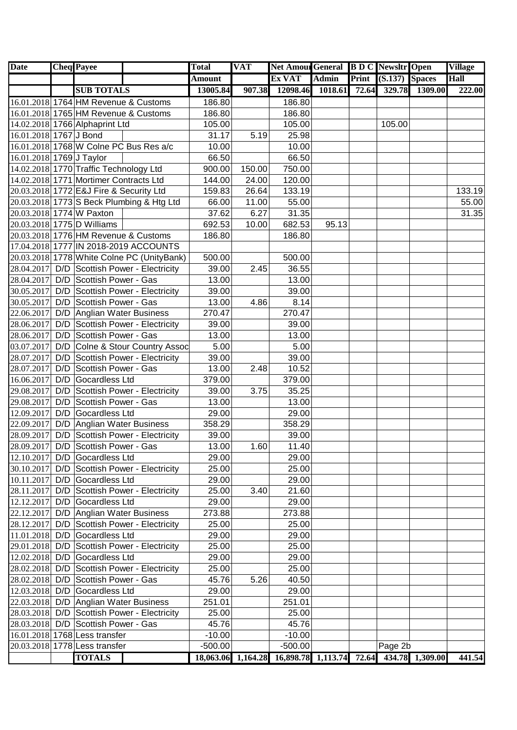| <b>Date</b>              |     | <b>Cheq Payee</b>                       |                                             | <b>Total</b>  | <b>VAT</b>         | <b>Net Amour General B D C Newsltr Open</b> |              |       |                  |                 | <b>Village</b> |
|--------------------------|-----|-----------------------------------------|---------------------------------------------|---------------|--------------------|---------------------------------------------|--------------|-------|------------------|-----------------|----------------|
|                          |     |                                         |                                             | <b>Amount</b> |                    | Ex VAT                                      | <b>Admin</b> | Print | $(S.137)$ Spaces |                 | Hall           |
|                          |     | <b>SUB TOTALS</b>                       |                                             | 13005.84      | 907.38             | 12098.46                                    | 1018.61      | 72.64 | 329.78           | 1309.00         | 222.00         |
|                          |     |                                         | 16.01.2018 1764 HM Revenue & Customs        | 186.80        |                    | 186.80                                      |              |       |                  |                 |                |
|                          |     |                                         | 16.01.2018 1765 HM Revenue & Customs        | 186.80        |                    | 186.80                                      |              |       |                  |                 |                |
|                          |     | 14.02.2018 1766 Alphaprint Ltd          |                                             | 105.00        |                    | 105.00                                      |              |       | 105.00           |                 |                |
| 16.01.2018 1767 J Bond   |     |                                         |                                             | 31.17         | 5.19               | 25.98                                       |              |       |                  |                 |                |
|                          |     |                                         | 16.01.2018 1768 W Colne PC Bus Res a/c      | 10.00         |                    | 10.00                                       |              |       |                  |                 |                |
| 16.01.2018 1769 J Taylor |     |                                         |                                             | 66.50         |                    | 66.50                                       |              |       |                  |                 |                |
|                          |     | 14.02.2018 1770 Traffic Technology Ltd  |                                             | 900.00        | 150.00             | 750.00                                      |              |       |                  |                 |                |
|                          |     | 14.02.2018 1771 Mortimer Contracts Ltd  |                                             | 144.00        | 24.00              | 120.00                                      |              |       |                  |                 |                |
|                          |     | 20.03.2018 1772 E&J Fire & Security Ltd |                                             | 159.83        | 26.64              | 133.19                                      |              |       |                  |                 | 133.19         |
|                          |     |                                         | 20.03.2018 1773 S Beck Plumbing & Htg Ltd   | 66.00         | 11.00              | 55.00                                       |              |       |                  |                 | 55.00          |
|                          |     | 20.03.2018 1774 W Paxton                |                                             | 37.62         | 6.27               | 31.35                                       |              |       |                  |                 | 31.35          |
|                          |     | 20.03.2018 1775 D Williams              |                                             | 692.53        | 10.00              | 682.53                                      | 95.13        |       |                  |                 |                |
|                          |     |                                         | 20.03.2018 1776 HM Revenue & Customs        | 186.80        |                    | 186.80                                      |              |       |                  |                 |                |
|                          |     |                                         | 17.04.2018 1777 IN 2018-2019 ACCOUNTS       |               |                    |                                             |              |       |                  |                 |                |
|                          |     |                                         | 20.03.2018 1778 White Colne PC (UnityBank)  | 500.00        |                    | 500.00                                      |              |       |                  |                 |                |
|                          |     |                                         | 28.04.2017 D/D Scottish Power - Electricity | 39.00         | 2.45               | 36.55                                       |              |       |                  |                 |                |
| 28.04.2017               |     | D/D Scottish Power - Gas                |                                             | 13.00         |                    | 13.00                                       |              |       |                  |                 |                |
| 30.05.2017               |     |                                         | D/D Scottish Power - Electricity            | 39.00         |                    | 39.00                                       |              |       |                  |                 |                |
| 30.05.2017               |     | D/D Scottish Power - Gas                |                                             | 13.00         | 4.86               | 8.14                                        |              |       |                  |                 |                |
| 22.06.2017               |     | D/D Anglian Water Business              |                                             | 270.47        |                    | 270.47                                      |              |       |                  |                 |                |
| 28.06.2017               |     |                                         | D/D Scottish Power - Electricity            | 39.00         |                    | 39.00                                       |              |       |                  |                 |                |
| 28.06.2017               |     | D/D Scottish Power - Gas                |                                             | 13.00         |                    | 13.00                                       |              |       |                  |                 |                |
| 03.07.2017               | D/D |                                         | Colne & Stour Country Assoc                 | 5.00          |                    | 5.00                                        |              |       |                  |                 |                |
| 28.07.2017               | D/D |                                         | Scottish Power - Electricity                | 39.00         |                    | 39.00                                       |              |       |                  |                 |                |
| 28.07.2017               | D/D | <b>Scottish Power - Gas</b>             |                                             | 13.00         | 2.48               | 10.52                                       |              |       |                  |                 |                |
| 16.06.2017               | D/D | Gocardless Ltd                          |                                             | 379.00        |                    | 379.00                                      |              |       |                  |                 |                |
| 29.08.2017               | D/D |                                         | Scottish Power - Electricity                | 39.00         | 3.75               | 35.25                                       |              |       |                  |                 |                |
| 29.08.2017               | D/D | <b>Scottish Power - Gas</b>             |                                             | 13.00         |                    | 13.00                                       |              |       |                  |                 |                |
| 12.09.2017               |     | D/D Gocardless Ltd                      |                                             | 29.00         |                    | 29.00                                       |              |       |                  |                 |                |
| 22.09.2017               |     | D/D Anglian Water Business              |                                             | 358.29        |                    | 358.29                                      |              |       |                  |                 |                |
| 28.09.2017               |     |                                         | D/D Scottish Power - Electricity            | 39.00         |                    | 39.00                                       |              |       |                  |                 |                |
| 28.09.2017               | D/D | Scottish Power - Gas                    |                                             | 13.00         | 1.60               | 11.40                                       |              |       |                  |                 |                |
|                          |     | 12.10.2017 D/D Gocardless Ltd           |                                             | 29.00         |                    | 29.00                                       |              |       |                  |                 |                |
| 30.10.2017               | D/D |                                         | Scottish Power - Electricity                | 25.00         |                    | 25.00                                       |              |       |                  |                 |                |
| 10.11.2017               |     | D/D Gocardless Ltd                      |                                             | 29.00         |                    | 29.00                                       |              |       |                  |                 |                |
| 28.11.2017               |     |                                         | D/D Scottish Power - Electricity            | 25.00         | 3.40               | 21.60                                       |              |       |                  |                 |                |
|                          |     | 12.12.2017 D/D Gocardless Ltd           |                                             | 29.00         |                    | 29.00                                       |              |       |                  |                 |                |
| 22.12.2017               |     | D/D Anglian Water Business              |                                             | 273.88        |                    | 273.88                                      |              |       |                  |                 |                |
| 28.12.2017               |     |                                         | D/D Scottish Power - Electricity            | 25.00         |                    | 25.00                                       |              |       |                  |                 |                |
|                          |     | 11.01.2018 D/D Gocardless Ltd           |                                             | 29.00         |                    | 29.00                                       |              |       |                  |                 |                |
| 29.01.2018               |     |                                         | D/D Scottish Power - Electricity            | 25.00         |                    | 25.00                                       |              |       |                  |                 |                |
| 12.02.2018               |     | D/D Gocardless Ltd                      |                                             | 29.00         |                    | 29.00                                       |              |       |                  |                 |                |
| 28.02.2018               |     |                                         | D/D Scottish Power - Electricity            | 25.00         |                    | 25.00                                       |              |       |                  |                 |                |
|                          |     | 28.02.2018 D/D Scottish Power - Gas     |                                             | 45.76         | 5.26               | 40.50                                       |              |       |                  |                 |                |
|                          |     | 12.03.2018 D/D Gocardless Ltd           |                                             | 29.00         |                    | 29.00                                       |              |       |                  |                 |                |
|                          |     | 22.03.2018 D/D Anglian Water Business   |                                             | 251.01        |                    | 251.01                                      |              |       |                  |                 |                |
|                          |     |                                         | 28.03.2018 D/D Scottish Power - Electricity | 25.00         |                    | 25.00                                       |              |       |                  |                 |                |
|                          |     | 28.03.2018 D/D Scottish Power - Gas     |                                             | 45.76         |                    | 45.76                                       |              |       |                  |                 |                |
|                          |     | 16.01.2018 1768 Less transfer           |                                             | $-10.00$      |                    | $-10.00$                                    |              |       |                  |                 |                |
|                          |     | 20.03.2018 1778 Less transfer           |                                             | $-500.00$     |                    | $-500.00$                                   |              |       | Page 2b          |                 |                |
|                          |     | <b>TOTALS</b>                           |                                             |               | 18,063.06 1,164.28 | 16,898.78 1,113.74 72.64                    |              |       |                  | 434.78 1,309.00 | 441.54         |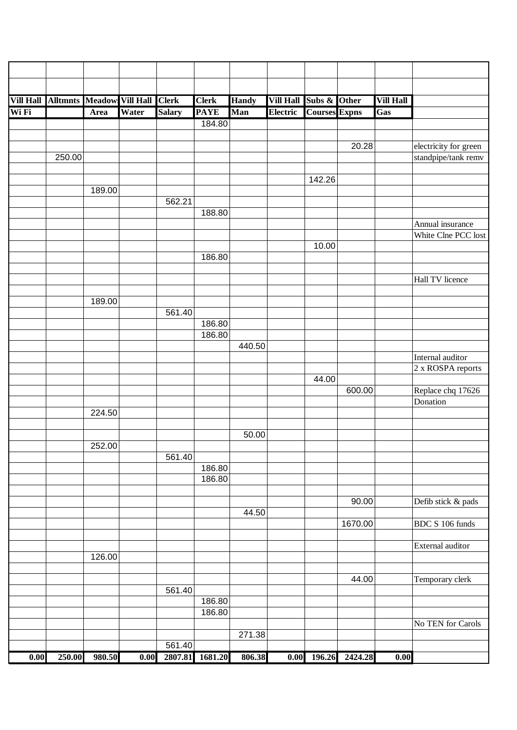| <b>Vill Hall</b> | <b>Alltmnts Meadow Vill Hall Clerk</b> |               |       |               | <b>Clerk</b>     | <b>Handy</b> | <b>Vill Hall</b> | Subs & Other         |                     | <b>Vill Hall</b>  |                       |
|------------------|----------------------------------------|---------------|-------|---------------|------------------|--------------|------------------|----------------------|---------------------|-------------------|-----------------------|
| Wi Fi            |                                        | Area          | Water | <b>Salary</b> | <b>PAYE</b>      | Man          | <b>Electric</b>  | <b>Courses Expns</b> |                     | Gas               |                       |
|                  |                                        |               |       |               | 184.80           |              |                  |                      |                     |                   |                       |
|                  |                                        |               |       |               |                  |              |                  |                      |                     |                   |                       |
|                  |                                        |               |       |               |                  |              |                  |                      | 20.28               |                   | electricity for green |
|                  | 250.00                                 |               |       |               |                  |              |                  |                      |                     |                   | standpipe/tank remv   |
|                  |                                        |               |       |               |                  |              |                  |                      |                     |                   |                       |
|                  |                                        | 189.00        |       |               |                  |              |                  | 142.26               |                     |                   |                       |
|                  |                                        |               |       | 562.21        |                  |              |                  |                      |                     |                   |                       |
|                  |                                        |               |       |               | 188.80           |              |                  |                      |                     |                   |                       |
|                  |                                        |               |       |               |                  |              |                  |                      |                     |                   | Annual insurance      |
|                  |                                        |               |       |               |                  |              |                  |                      |                     |                   | White Clne PCC lost   |
|                  |                                        |               |       |               |                  |              |                  | 10.00                |                     |                   |                       |
|                  |                                        |               |       |               | 186.80           |              |                  |                      |                     |                   |                       |
|                  |                                        |               |       |               |                  |              |                  |                      |                     |                   |                       |
|                  |                                        |               |       |               |                  |              |                  |                      |                     |                   | Hall TV licence       |
|                  |                                        |               |       |               |                  |              |                  |                      |                     |                   |                       |
|                  |                                        | 189.00        |       |               |                  |              |                  |                      |                     |                   |                       |
|                  |                                        |               |       | 561.40        |                  |              |                  |                      |                     |                   |                       |
|                  |                                        |               |       |               | 186.80<br>186.80 |              |                  |                      |                     |                   |                       |
|                  |                                        |               |       |               |                  | 440.50       |                  |                      |                     |                   |                       |
|                  |                                        |               |       |               |                  |              |                  |                      |                     |                   | Internal auditor      |
|                  |                                        |               |       |               |                  |              |                  |                      |                     |                   | 2 x ROSPA reports     |
|                  |                                        |               |       |               |                  |              |                  | 44.00                |                     |                   |                       |
|                  |                                        |               |       |               |                  |              |                  |                      | 600.00              |                   | Replace chq 17626     |
|                  |                                        |               |       |               |                  |              |                  |                      |                     |                   | Donation              |
|                  |                                        | 224.50        |       |               |                  |              |                  |                      |                     |                   |                       |
|                  |                                        |               |       |               |                  |              |                  |                      |                     |                   |                       |
|                  |                                        |               |       |               |                  | 50.00        |                  |                      |                     |                   |                       |
|                  |                                        | 252.00        |       |               |                  |              |                  |                      |                     |                   |                       |
|                  |                                        |               |       | 561.40        |                  |              |                  |                      |                     |                   |                       |
|                  |                                        |               |       |               | 186.80<br>186.80 |              |                  |                      |                     |                   |                       |
|                  |                                        |               |       |               |                  |              |                  |                      |                     |                   |                       |
|                  |                                        |               |       |               |                  |              |                  |                      | 90.00               |                   | Defib stick & pads    |
|                  |                                        |               |       |               |                  | 44.50        |                  |                      |                     |                   |                       |
|                  |                                        |               |       |               |                  |              |                  |                      | 1670.00             |                   | BDC S 106 funds       |
|                  |                                        |               |       |               |                  |              |                  |                      |                     |                   |                       |
|                  |                                        |               |       |               |                  |              |                  |                      |                     |                   | External auditor      |
|                  |                                        | 126.00        |       |               |                  |              |                  |                      |                     |                   |                       |
|                  |                                        |               |       |               |                  |              |                  |                      |                     |                   |                       |
|                  |                                        |               |       |               |                  |              |                  |                      | 44.00               |                   | Temporary clerk       |
|                  |                                        |               |       | 561.40        |                  |              |                  |                      |                     |                   |                       |
|                  |                                        |               |       |               | 186.80           |              |                  |                      |                     |                   |                       |
|                  |                                        |               |       |               | 186.80           |              |                  |                      |                     |                   | No TEN for Carols     |
|                  |                                        |               |       |               |                  | 271.38       |                  |                      |                     |                   |                       |
|                  |                                        |               |       | 561.40        |                  |              |                  |                      |                     |                   |                       |
| 0.00             |                                        | 250.00 980.50 | 0.00  |               | 2807.81 1681.20  | 806.38       |                  |                      | 0.00 196.26 2424.28 | $\overline{0.00}$ |                       |